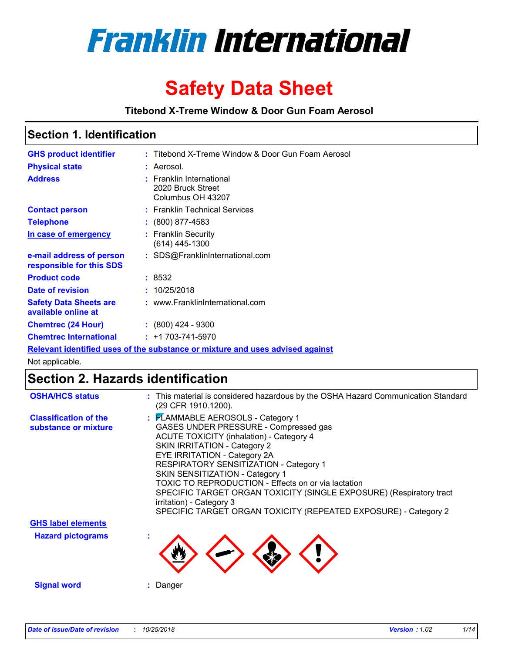

# **Safety Data Sheet**

**Titebond X-Treme Window & Door Gun Foam Aerosol**

## **Section 1. Identification**

| <b>GHS product identifier</b>                        | : Titebond X-Treme Window & Door Gun Foam Aerosol                             |
|------------------------------------------------------|-------------------------------------------------------------------------------|
| <b>Physical state</b>                                | : Aerosol.                                                                    |
| <b>Address</b>                                       | : Franklin International<br>2020 Bruck Street<br>Columbus OH 43207            |
| <b>Contact person</b>                                | : Franklin Technical Services                                                 |
| <b>Telephone</b>                                     | $\div$ (800) 877-4583                                                         |
| In case of emergency                                 | : Franklin Security<br>(614) 445-1300                                         |
| e-mail address of person<br>responsible for this SDS | : SDS@FranklinInternational.com                                               |
| <b>Product code</b>                                  | : 8532                                                                        |
| Date of revision                                     | : 10/25/2018                                                                  |
| <b>Safety Data Sheets are</b><br>available online at | : www.FranklinInternational.com                                               |
| <b>Chemtrec (24 Hour)</b>                            | $\cdot$ (800) 424 - 9300                                                      |
| <b>Chemtrec International</b>                        | $: +1703 - 741 - 5970$                                                        |
|                                                      | Relevant identified uses of the substance or mixture and uses advised against |

Not applicable.

# **Section 2. Hazards identification**

| <b>OSHA/HCS status</b>                               | : This material is considered hazardous by the OSHA Hazard Communication Standard<br>(29 CFR 1910.1200).                                                                                                                                                                                                                                                                                                                                                                                                       |
|------------------------------------------------------|----------------------------------------------------------------------------------------------------------------------------------------------------------------------------------------------------------------------------------------------------------------------------------------------------------------------------------------------------------------------------------------------------------------------------------------------------------------------------------------------------------------|
| <b>Classification of the</b><br>substance or mixture | : FLAMMABLE AEROSOLS - Category 1<br>GASES UNDER PRESSURE - Compressed gas<br><b>ACUTE TOXICITY (inhalation) - Category 4</b><br><b>SKIN IRRITATION - Category 2</b><br>EYE IRRITATION - Category 2A<br>RESPIRATORY SENSITIZATION - Category 1<br>SKIN SENSITIZATION - Category 1<br>TOXIC TO REPRODUCTION - Effects on or via lactation<br>SPECIFIC TARGET ORGAN TOXICITY (SINGLE EXPOSURE) (Respiratory tract<br>irritation) - Category 3<br>SPECIFIC TARGET ORGAN TOXICITY (REPEATED EXPOSURE) - Category 2 |
| <b>GHS label elements</b>                            |                                                                                                                                                                                                                                                                                                                                                                                                                                                                                                                |
| <b>Hazard pictograms</b>                             |                                                                                                                                                                                                                                                                                                                                                                                                                                                                                                                |
| <b>Signal word</b>                                   | : Danger                                                                                                                                                                                                                                                                                                                                                                                                                                                                                                       |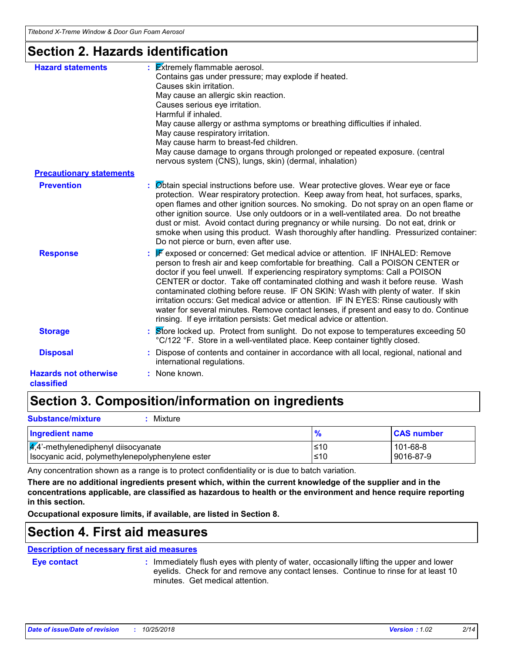## **Section 2. Hazards identification**

| <b>Hazard statements</b>                   | $\frac{1}{2}$ <b>Extremely flammable aerosol.</b><br>Contains gas under pressure; may explode if heated.<br>Causes skin irritation.<br>May cause an allergic skin reaction.<br>Causes serious eye irritation.<br>Harmful if inhaled.<br>May cause allergy or asthma symptoms or breathing difficulties if inhaled.<br>May cause respiratory irritation.<br>May cause harm to breast-fed children.<br>May cause damage to organs through prolonged or repeated exposure. (central<br>nervous system (CNS), lungs, skin) (dermal, inhalation)                                                                                                                                                 |
|--------------------------------------------|---------------------------------------------------------------------------------------------------------------------------------------------------------------------------------------------------------------------------------------------------------------------------------------------------------------------------------------------------------------------------------------------------------------------------------------------------------------------------------------------------------------------------------------------------------------------------------------------------------------------------------------------------------------------------------------------|
| <b>Precautionary statements</b>            |                                                                                                                                                                                                                                                                                                                                                                                                                                                                                                                                                                                                                                                                                             |
| <b>Prevention</b>                          | : Øbtain special instructions before use. Wear protective gloves. Wear eye or face<br>protection. Wear respiratory protection. Keep away from heat, hot surfaces, sparks,<br>open flames and other ignition sources. No smoking. Do not spray on an open flame or<br>other ignition source. Use only outdoors or in a well-ventilated area. Do not breathe<br>dust or mist. Avoid contact during pregnancy or while nursing. Do not eat, drink or<br>smoke when using this product. Wash thoroughly after handling. Pressurized container:<br>Do not pierce or burn, even after use.                                                                                                        |
| <b>Response</b>                            | <b>F</b> exposed or concerned: Get medical advice or attention. IF INHALED: Remove<br>person to fresh air and keep comfortable for breathing. Call a POISON CENTER or<br>doctor if you feel unwell. If experiencing respiratory symptoms: Call a POISON<br>CENTER or doctor. Take off contaminated clothing and wash it before reuse. Wash<br>contaminated clothing before reuse. IF ON SKIN: Wash with plenty of water. If skin<br>irritation occurs: Get medical advice or attention. IF IN EYES: Rinse cautiously with<br>water for several minutes. Remove contact lenses, if present and easy to do. Continue<br>rinsing. If eye irritation persists: Get medical advice or attention. |
| <b>Storage</b>                             | Store locked up. Protect from sunlight. Do not expose to temperatures exceeding 50<br>°C/122 °F. Store in a well-ventilated place. Keep container tightly closed.                                                                                                                                                                                                                                                                                                                                                                                                                                                                                                                           |
| <b>Disposal</b>                            | Dispose of contents and container in accordance with all local, regional, national and<br>international regulations.                                                                                                                                                                                                                                                                                                                                                                                                                                                                                                                                                                        |
| <b>Hazards not otherwise</b><br>classified | : None known.                                                                                                                                                                                                                                                                                                                                                                                                                                                                                                                                                                                                                                                                               |

# **Section 3. Composition/information on ingredients**

| <b>Substance/mixture</b><br>Mixture                                                                  |            |                       |
|------------------------------------------------------------------------------------------------------|------------|-----------------------|
| Ingredient name                                                                                      | %          | <b>CAS number</b>     |
| $\frac{1}{4}$ ,4'-methylenediphenyl diisocyanate<br>Isocyanic acid, polymethylenepolyphenylene ester | ≤10<br>≤10 | 101-68-8<br>9016-87-9 |

Any concentration shown as a range is to protect confidentiality or is due to batch variation.

**There are no additional ingredients present which, within the current knowledge of the supplier and in the concentrations applicable, are classified as hazardous to health or the environment and hence require reporting in this section.**

**Occupational exposure limits, if available, are listed in Section 8.**

## **Section 4. First aid measures**

### **Description of necessary first aid measures**

**Eye contact :**

: Immediately flush eyes with plenty of water, occasionally lifting the upper and lower eyelids. Check for and remove any contact lenses. Continue to rinse for at least 10 minutes. Get medical attention.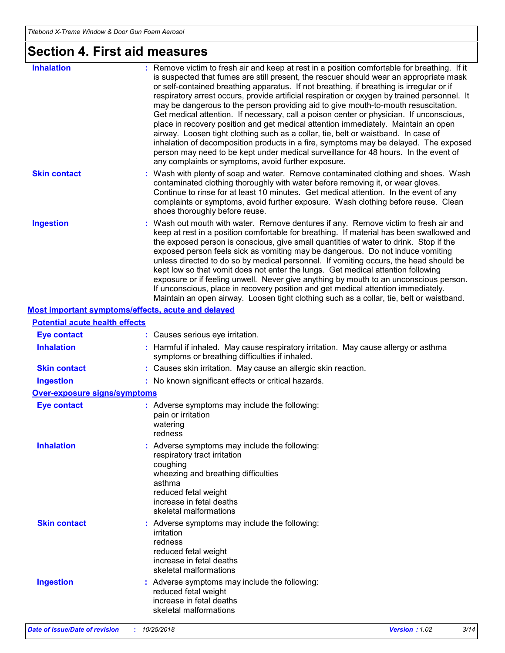# **Section 4. First aid measures**

| <b>Inhalation</b>                     | : Remove victim to fresh air and keep at rest in a position comfortable for breathing. If it<br>is suspected that fumes are still present, the rescuer should wear an appropriate mask<br>or self-contained breathing apparatus. If not breathing, if breathing is irregular or if<br>respiratory arrest occurs, provide artificial respiration or oxygen by trained personnel. It<br>may be dangerous to the person providing aid to give mouth-to-mouth resuscitation.<br>Get medical attention. If necessary, call a poison center or physician. If unconscious,<br>place in recovery position and get medical attention immediately. Maintain an open<br>airway. Loosen tight clothing such as a collar, tie, belt or waistband. In case of<br>inhalation of decomposition products in a fire, symptoms may be delayed. The exposed<br>person may need to be kept under medical surveillance for 48 hours. In the event of<br>any complaints or symptoms, avoid further exposure. |
|---------------------------------------|---------------------------------------------------------------------------------------------------------------------------------------------------------------------------------------------------------------------------------------------------------------------------------------------------------------------------------------------------------------------------------------------------------------------------------------------------------------------------------------------------------------------------------------------------------------------------------------------------------------------------------------------------------------------------------------------------------------------------------------------------------------------------------------------------------------------------------------------------------------------------------------------------------------------------------------------------------------------------------------|
| <b>Skin contact</b>                   | : Wash with plenty of soap and water. Remove contaminated clothing and shoes. Wash<br>contaminated clothing thoroughly with water before removing it, or wear gloves.<br>Continue to rinse for at least 10 minutes. Get medical attention. In the event of any<br>complaints or symptoms, avoid further exposure. Wash clothing before reuse. Clean<br>shoes thoroughly before reuse.                                                                                                                                                                                                                                                                                                                                                                                                                                                                                                                                                                                                 |
| <b>Ingestion</b>                      | : Wash out mouth with water. Remove dentures if any. Remove victim to fresh air and<br>keep at rest in a position comfortable for breathing. If material has been swallowed and<br>the exposed person is conscious, give small quantities of water to drink. Stop if the<br>exposed person feels sick as vomiting may be dangerous. Do not induce vomiting<br>unless directed to do so by medical personnel. If vomiting occurs, the head should be<br>kept low so that vomit does not enter the lungs. Get medical attention following<br>exposure or if feeling unwell. Never give anything by mouth to an unconscious person.<br>If unconscious, place in recovery position and get medical attention immediately.<br>Maintain an open airway. Loosen tight clothing such as a collar, tie, belt or waistband.                                                                                                                                                                     |
|                                       | Most important symptoms/effects, acute and delayed                                                                                                                                                                                                                                                                                                                                                                                                                                                                                                                                                                                                                                                                                                                                                                                                                                                                                                                                    |
| <b>Potential acute health effects</b> |                                                                                                                                                                                                                                                                                                                                                                                                                                                                                                                                                                                                                                                                                                                                                                                                                                                                                                                                                                                       |
| <b>Eye contact</b>                    | : Causes serious eye irritation.                                                                                                                                                                                                                                                                                                                                                                                                                                                                                                                                                                                                                                                                                                                                                                                                                                                                                                                                                      |
| <b>Inhalation</b>                     | : Harmful if inhaled. May cause respiratory irritation. May cause allergy or asthma<br>symptoms or breathing difficulties if inhaled.                                                                                                                                                                                                                                                                                                                                                                                                                                                                                                                                                                                                                                                                                                                                                                                                                                                 |
| <b>Skin contact</b>                   | : Causes skin irritation. May cause an allergic skin reaction.                                                                                                                                                                                                                                                                                                                                                                                                                                                                                                                                                                                                                                                                                                                                                                                                                                                                                                                        |
| <b>Ingestion</b>                      | : No known significant effects or critical hazards.                                                                                                                                                                                                                                                                                                                                                                                                                                                                                                                                                                                                                                                                                                                                                                                                                                                                                                                                   |
| <b>Over-exposure signs/symptoms</b>   |                                                                                                                                                                                                                                                                                                                                                                                                                                                                                                                                                                                                                                                                                                                                                                                                                                                                                                                                                                                       |
| <b>Eye contact</b>                    | : Adverse symptoms may include the following:<br>pain or irritation<br>watering<br>redness                                                                                                                                                                                                                                                                                                                                                                                                                                                                                                                                                                                                                                                                                                                                                                                                                                                                                            |
| <b>Inhalation</b>                     | : Adverse symptoms may include the following:<br>respiratory tract irritation<br>coughing<br>wheezing and breathing difficulties<br>asthma<br>reduced fetal weight<br>increase in fetal deaths<br>skeletal malformations                                                                                                                                                                                                                                                                                                                                                                                                                                                                                                                                                                                                                                                                                                                                                              |
| <b>Skin contact</b>                   | : Adverse symptoms may include the following:<br>irritation<br>redness<br>reduced fetal weight<br>increase in fetal deaths<br>skeletal malformations                                                                                                                                                                                                                                                                                                                                                                                                                                                                                                                                                                                                                                                                                                                                                                                                                                  |
| <b>Ingestion</b>                      | : Adverse symptoms may include the following:<br>reduced fetal weight<br>increase in fetal deaths<br>skeletal malformations                                                                                                                                                                                                                                                                                                                                                                                                                                                                                                                                                                                                                                                                                                                                                                                                                                                           |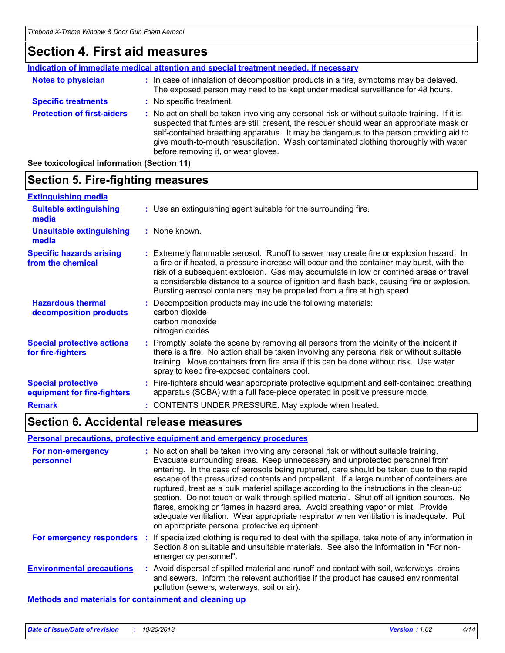## **Section 4. First aid measures**

|                                   | <b>Indication of immediate medical attention and special treatment needed, if necessary</b>                                                                                                                                                                                                                                                                                                                     |
|-----------------------------------|-----------------------------------------------------------------------------------------------------------------------------------------------------------------------------------------------------------------------------------------------------------------------------------------------------------------------------------------------------------------------------------------------------------------|
| <b>Notes to physician</b>         | : In case of inhalation of decomposition products in a fire, symptoms may be delayed.<br>The exposed person may need to be kept under medical surveillance for 48 hours.                                                                                                                                                                                                                                        |
| <b>Specific treatments</b>        | : No specific treatment.                                                                                                                                                                                                                                                                                                                                                                                        |
| <b>Protection of first-aiders</b> | : No action shall be taken involving any personal risk or without suitable training. If it is<br>suspected that fumes are still present, the rescuer should wear an appropriate mask or<br>self-contained breathing apparatus. It may be dangerous to the person providing aid to<br>give mouth-to-mouth resuscitation. Wash contaminated clothing thoroughly with water<br>before removing it, or wear gloves. |

**See toxicological information (Section 11)**

#### **Section 5. Fire-fighting measures Hazardous thermal decomposition products Specific hazards arising from the chemical** Decomposition products may include the following materials: **:** carbon dioxide carbon monoxide nitrogen oxides Extremely flammable aerosol. Runoff to sewer may create fire or explosion hazard. In **:** a fire or if heated, a pressure increase will occur and the container may burst, with the risk of a subsequent explosion. Gas may accumulate in low or confined areas or travel a considerable distance to a source of ignition and flash back, causing fire or explosion. Bursting aerosol containers may be propelled from a fire at high speed. Use an extinguishing agent suitable for the surrounding fire. **: Extinguishing media :** None known. **Suitable extinguishing media Unsuitable extinguishing media**

| <b>Special protective actions</b><br>for fire-fighters   | : Promptly isolate the scene by removing all persons from the vicinity of the incident if<br>there is a fire. No action shall be taken involving any personal risk or without suitable<br>training. Move containers from fire area if this can be done without risk. Use water<br>spray to keep fire-exposed containers cool. |
|----------------------------------------------------------|-------------------------------------------------------------------------------------------------------------------------------------------------------------------------------------------------------------------------------------------------------------------------------------------------------------------------------|
| <b>Special protective</b><br>equipment for fire-fighters | : Fire-fighters should wear appropriate protective equipment and self-contained breathing<br>apparatus (SCBA) with a full face-piece operated in positive pressure mode.                                                                                                                                                      |

**Remark :** CONTENTS UNDER PRESSURE. May explode when heated.

**Section 6. Accidental release measures**

### **Personal precautions, protective equipment and emergency procedures**

| For non-emergency<br>personnel                               |    | : No action shall be taken involving any personal risk or without suitable training.<br>Evacuate surrounding areas. Keep unnecessary and unprotected personnel from<br>entering. In the case of aerosols being ruptured, care should be taken due to the rapid<br>escape of the pressurized contents and propellant. If a large number of containers are<br>ruptured, treat as a bulk material spillage according to the instructions in the clean-up<br>section. Do not touch or walk through spilled material. Shut off all ignition sources. No<br>flares, smoking or flames in hazard area. Avoid breathing vapor or mist. Provide<br>adequate ventilation. Wear appropriate respirator when ventilation is inadequate. Put<br>on appropriate personal protective equipment. |
|--------------------------------------------------------------|----|----------------------------------------------------------------------------------------------------------------------------------------------------------------------------------------------------------------------------------------------------------------------------------------------------------------------------------------------------------------------------------------------------------------------------------------------------------------------------------------------------------------------------------------------------------------------------------------------------------------------------------------------------------------------------------------------------------------------------------------------------------------------------------|
| For emergency responders                                     | п. | If specialized clothing is required to deal with the spillage, take note of any information in<br>Section 8 on suitable and unsuitable materials. See also the information in "For non-<br>emergency personnel".                                                                                                                                                                                                                                                                                                                                                                                                                                                                                                                                                                 |
| <b>Environmental precautions</b>                             |    | : Avoid dispersal of spilled material and runoff and contact with soil, waterways, drains<br>and sewers. Inform the relevant authorities if the product has caused environmental<br>pollution (sewers, waterways, soil or air).                                                                                                                                                                                                                                                                                                                                                                                                                                                                                                                                                  |
| <b>Methods and materials for containment and cleaning up</b> |    |                                                                                                                                                                                                                                                                                                                                                                                                                                                                                                                                                                                                                                                                                                                                                                                  |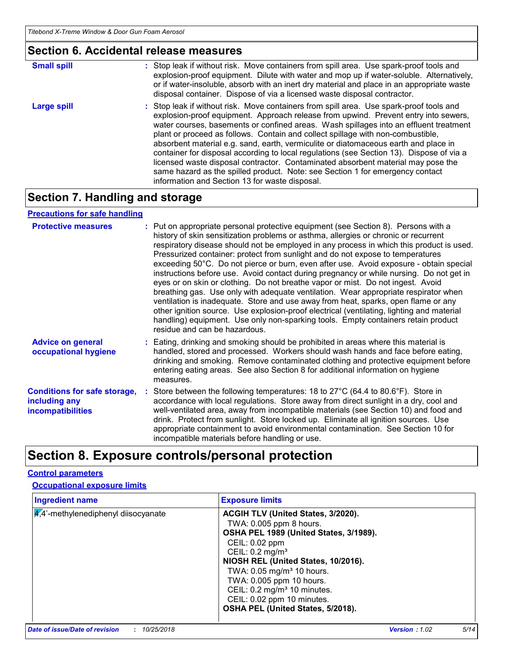# **Section 6. Accidental release measures**

| <b>Small spill</b> | : Stop leak if without risk. Move containers from spill area. Use spark-proof tools and<br>explosion-proof equipment. Dilute with water and mop up if water-soluble. Alternatively,<br>or if water-insoluble, absorb with an inert dry material and place in an appropriate waste<br>disposal container. Dispose of via a licensed waste disposal contractor.                                                                                                                                                                                                                                                                                                                                                                                                        |
|--------------------|----------------------------------------------------------------------------------------------------------------------------------------------------------------------------------------------------------------------------------------------------------------------------------------------------------------------------------------------------------------------------------------------------------------------------------------------------------------------------------------------------------------------------------------------------------------------------------------------------------------------------------------------------------------------------------------------------------------------------------------------------------------------|
| <b>Large spill</b> | : Stop leak if without risk. Move containers from spill area. Use spark-proof tools and<br>explosion-proof equipment. Approach release from upwind. Prevent entry into sewers,<br>water courses, basements or confined areas. Wash spillages into an effluent treatment<br>plant or proceed as follows. Contain and collect spillage with non-combustible,<br>absorbent material e.g. sand, earth, vermiculite or diatomaceous earth and place in<br>container for disposal according to local regulations (see Section 13). Dispose of via a<br>licensed waste disposal contractor. Contaminated absorbent material may pose the<br>same hazard as the spilled product. Note: see Section 1 for emergency contact<br>information and Section 13 for waste disposal. |

# **Section 7. Handling and storage**

## **Precautions for safe handling**

| <b>Protective measures</b>                                                       | : Put on appropriate personal protective equipment (see Section 8). Persons with a<br>history of skin sensitization problems or asthma, allergies or chronic or recurrent<br>respiratory disease should not be employed in any process in which this product is used.<br>Pressurized container: protect from sunlight and do not expose to temperatures<br>exceeding 50°C. Do not pierce or burn, even after use. Avoid exposure - obtain special<br>instructions before use. Avoid contact during pregnancy or while nursing. Do not get in<br>eyes or on skin or clothing. Do not breathe vapor or mist. Do not ingest. Avoid<br>breathing gas. Use only with adequate ventilation. Wear appropriate respirator when<br>ventilation is inadequate. Store and use away from heat, sparks, open flame or any<br>other ignition source. Use explosion-proof electrical (ventilating, lighting and material<br>handling) equipment. Use only non-sparking tools. Empty containers retain product<br>residue and can be hazardous. |
|----------------------------------------------------------------------------------|---------------------------------------------------------------------------------------------------------------------------------------------------------------------------------------------------------------------------------------------------------------------------------------------------------------------------------------------------------------------------------------------------------------------------------------------------------------------------------------------------------------------------------------------------------------------------------------------------------------------------------------------------------------------------------------------------------------------------------------------------------------------------------------------------------------------------------------------------------------------------------------------------------------------------------------------------------------------------------------------------------------------------------|
| <b>Advice on general</b><br>occupational hygiene                                 | : Eating, drinking and smoking should be prohibited in areas where this material is<br>handled, stored and processed. Workers should wash hands and face before eating,<br>drinking and smoking. Remove contaminated clothing and protective equipment before<br>entering eating areas. See also Section 8 for additional information on hygiene<br>measures.                                                                                                                                                                                                                                                                                                                                                                                                                                                                                                                                                                                                                                                                   |
| <b>Conditions for safe storage,</b><br>including any<br><b>incompatibilities</b> | : Store between the following temperatures: 18 to 27°C (64.4 to 80.6°F). Store in<br>accordance with local regulations. Store away from direct sunlight in a dry, cool and<br>well-ventilated area, away from incompatible materials (see Section 10) and food and<br>drink. Protect from sunlight. Store locked up. Eliminate all ignition sources. Use<br>appropriate containment to avoid environmental contamination. See Section 10 for<br>incompatible materials before handling or use.                                                                                                                                                                                                                                                                                                                                                                                                                                                                                                                                  |

# **Section 8. Exposure controls/personal protection**

## **Control parameters**

## **Occupational exposure limits**

| <b>Ingredient name</b>                 | <b>Exposure limits</b>                                                                                                                                                                                                                                                                                                                                                             |
|----------------------------------------|------------------------------------------------------------------------------------------------------------------------------------------------------------------------------------------------------------------------------------------------------------------------------------------------------------------------------------------------------------------------------------|
| $4.4$ '-methylenediphenyl diisocyanate | ACGIH TLV (United States, 3/2020).<br>TWA: 0.005 ppm 8 hours.<br>OSHA PEL 1989 (United States, 3/1989).<br>CEIL: 0.02 ppm<br>CEIL: 0.2 mg/m <sup>3</sup><br>NIOSH REL (United States, 10/2016).<br>TWA: 0.05 mg/m <sup>3</sup> 10 hours.<br>TWA: 0.005 ppm 10 hours.<br>CEIL: 0.2 mg/m <sup>3</sup> 10 minutes.<br>CEIL: 0.02 ppm 10 minutes.<br>OSHA PEL (United States, 5/2018). |
|                                        |                                                                                                                                                                                                                                                                                                                                                                                    |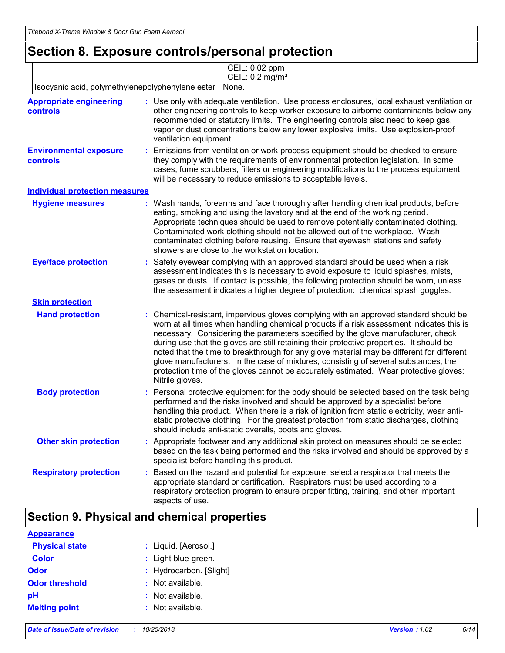# **Section 8. Exposure controls/personal protection**

|                                                   | CEIL: 0.02 ppm<br>CEIL: 0.2 mg/m <sup>3</sup>                                                                                                                                                                                                                                                                                                                                                                                                                                                                                                                                                                                                                   |
|---------------------------------------------------|-----------------------------------------------------------------------------------------------------------------------------------------------------------------------------------------------------------------------------------------------------------------------------------------------------------------------------------------------------------------------------------------------------------------------------------------------------------------------------------------------------------------------------------------------------------------------------------------------------------------------------------------------------------------|
| Isocyanic acid, polymethylenepolyphenylene ester  | None.                                                                                                                                                                                                                                                                                                                                                                                                                                                                                                                                                                                                                                                           |
| <b>Appropriate engineering</b><br><b>controls</b> | : Use only with adequate ventilation. Use process enclosures, local exhaust ventilation or<br>other engineering controls to keep worker exposure to airborne contaminants below any<br>recommended or statutory limits. The engineering controls also need to keep gas,<br>vapor or dust concentrations below any lower explosive limits. Use explosion-proof<br>ventilation equipment.                                                                                                                                                                                                                                                                         |
| <b>Environmental exposure</b><br>controls         | Emissions from ventilation or work process equipment should be checked to ensure<br>they comply with the requirements of environmental protection legislation. In some<br>cases, fume scrubbers, filters or engineering modifications to the process equipment<br>will be necessary to reduce emissions to acceptable levels.                                                                                                                                                                                                                                                                                                                                   |
| <b>Individual protection measures</b>             |                                                                                                                                                                                                                                                                                                                                                                                                                                                                                                                                                                                                                                                                 |
| <b>Hygiene measures</b>                           | Wash hands, forearms and face thoroughly after handling chemical products, before<br>eating, smoking and using the lavatory and at the end of the working period.<br>Appropriate techniques should be used to remove potentially contaminated clothing.<br>Contaminated work clothing should not be allowed out of the workplace. Wash<br>contaminated clothing before reusing. Ensure that eyewash stations and safety<br>showers are close to the workstation location.                                                                                                                                                                                       |
| <b>Eye/face protection</b>                        | Safety eyewear complying with an approved standard should be used when a risk<br>assessment indicates this is necessary to avoid exposure to liquid splashes, mists,<br>gases or dusts. If contact is possible, the following protection should be worn, unless<br>the assessment indicates a higher degree of protection: chemical splash goggles.                                                                                                                                                                                                                                                                                                             |
| <b>Skin protection</b>                            |                                                                                                                                                                                                                                                                                                                                                                                                                                                                                                                                                                                                                                                                 |
| <b>Hand protection</b>                            | Chemical-resistant, impervious gloves complying with an approved standard should be<br>worn at all times when handling chemical products if a risk assessment indicates this is<br>necessary. Considering the parameters specified by the glove manufacturer, check<br>during use that the gloves are still retaining their protective properties. It should be<br>noted that the time to breakthrough for any glove material may be different for different<br>glove manufacturers. In the case of mixtures, consisting of several substances, the<br>protection time of the gloves cannot be accurately estimated. Wear protective gloves:<br>Nitrile gloves. |
| <b>Body protection</b>                            | Personal protective equipment for the body should be selected based on the task being<br>performed and the risks involved and should be approved by a specialist before<br>handling this product. When there is a risk of ignition from static electricity, wear anti-<br>static protective clothing. For the greatest protection from static discharges, clothing<br>should include anti-static overalls, boots and gloves.                                                                                                                                                                                                                                    |
| <b>Other skin protection</b>                      | : Appropriate footwear and any additional skin protection measures should be selected<br>based on the task being performed and the risks involved and should be approved by a<br>specialist before handling this product.                                                                                                                                                                                                                                                                                                                                                                                                                                       |
| <b>Respiratory protection</b>                     | Based on the hazard and potential for exposure, select a respirator that meets the<br>appropriate standard or certification. Respirators must be used according to a<br>respiratory protection program to ensure proper fitting, training, and other important<br>aspects of use.                                                                                                                                                                                                                                                                                                                                                                               |

## **Section 9. Physical and chemical properties**

| <b>Appearance</b>     |                         |
|-----------------------|-------------------------|
| <b>Physical state</b> | : Liquid. [Aerosol.]    |
| <b>Color</b>          | : Light blue-green.     |
| <b>Odor</b>           | : Hydrocarbon. [Slight] |
| <b>Odor threshold</b> | : Not available.        |
| pH                    | : Not available.        |
| <b>Melting point</b>  | : Not available.        |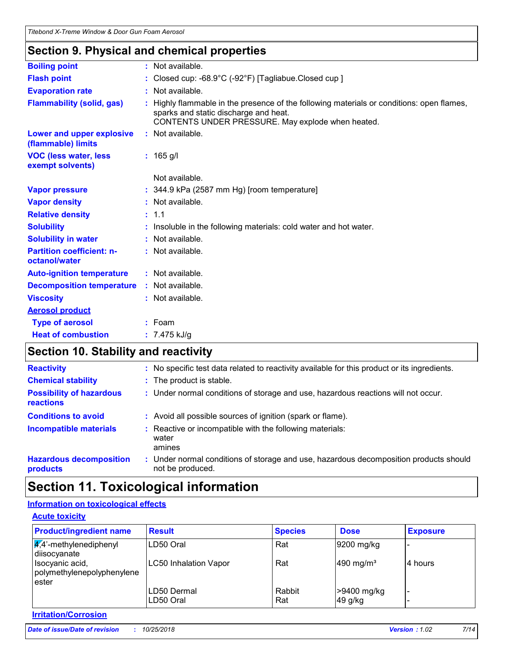## **Section 9. Physical and chemical properties**

| <b>Boiling point</b>                              | : Not available.                                                                                                                                                                      |  |  |  |
|---------------------------------------------------|---------------------------------------------------------------------------------------------------------------------------------------------------------------------------------------|--|--|--|
| <b>Flash point</b>                                | : Closed cup: $-68.9^{\circ}$ C ( $-92^{\circ}$ F) [Tagliabue.Closed cup ]                                                                                                            |  |  |  |
| <b>Evaporation rate</b>                           | : Not available.                                                                                                                                                                      |  |  |  |
| <b>Flammability (solid, gas)</b>                  | Highly flammable in the presence of the following materials or conditions: open flames,<br>sparks and static discharge and heat.<br>CONTENTS UNDER PRESSURE. May explode when heated. |  |  |  |
| Lower and upper explosive<br>(flammable) limits   | : Not available.                                                                                                                                                                      |  |  |  |
| <b>VOC (less water, less)</b><br>exempt solvents) | $: 165$ g/l                                                                                                                                                                           |  |  |  |
|                                                   | Not available.                                                                                                                                                                        |  |  |  |
| <b>Vapor pressure</b>                             | $: 344.9$ kPa (2587 mm Hg) [room temperature]                                                                                                                                         |  |  |  |
| <b>Vapor density</b>                              | : Not available.                                                                                                                                                                      |  |  |  |
| <b>Relative density</b>                           | : 1.1                                                                                                                                                                                 |  |  |  |
| <b>Solubility</b>                                 | Insoluble in the following materials: cold water and hot water.                                                                                                                       |  |  |  |
| <b>Solubility in water</b>                        | Not available.                                                                                                                                                                        |  |  |  |
| <b>Partition coefficient: n-</b><br>octanol/water | : Not available.                                                                                                                                                                      |  |  |  |
| <b>Auto-ignition temperature</b>                  | : Not available.                                                                                                                                                                      |  |  |  |
| <b>Decomposition temperature</b>                  | : Not available.                                                                                                                                                                      |  |  |  |
| <b>Viscosity</b>                                  | : Not available.                                                                                                                                                                      |  |  |  |
| <b>Aerosol product</b>                            |                                                                                                                                                                                       |  |  |  |
| <b>Type of aerosol</b>                            | $:$ Foam                                                                                                                                                                              |  |  |  |
| <b>Heat of combustion</b>                         | : $7.475$ kJ/g                                                                                                                                                                        |  |  |  |
|                                                   |                                                                                                                                                                                       |  |  |  |

# **Section 10. Stability and reactivity**

| <b>Reactivity</b>                                   | : No specific test data related to reactivity available for this product or its ingredients.              |
|-----------------------------------------------------|-----------------------------------------------------------------------------------------------------------|
| <b>Chemical stability</b>                           | : The product is stable.                                                                                  |
| <b>Possibility of hazardous</b><br><b>reactions</b> | : Under normal conditions of storage and use, hazardous reactions will not occur.                         |
| <b>Conditions to avoid</b>                          | : Avoid all possible sources of ignition (spark or flame).                                                |
| <b>Incompatible materials</b>                       | : Reactive or incompatible with the following materials:<br>water<br>amines                               |
| <b>Hazardous decomposition</b><br>products          | : Under normal conditions of storage and use, hazardous decomposition products should<br>not be produced. |

# **Section 11. Toxicological information**

## **Information on toxicological effects**

| <b>Acute toxicity</b>                                      |                           |                |                        |                 |
|------------------------------------------------------------|---------------------------|----------------|------------------------|-----------------|
| <b>Product/ingredient name</b>                             | <b>Result</b>             | <b>Species</b> | <b>Dose</b>            | <b>Exposure</b> |
| $\sqrt{4}$ <sup>2</sup> -methylenediphenyl<br>diisocyanate | LD50 Oral                 | Rat            | 9200 mg/kg             |                 |
| Isocyanic acid,<br>polymethylenepolyphenylene<br>ester     | LC50 Inhalation Vapor     | Rat            | 490 mg/m <sup>3</sup>  | 4 hours         |
|                                                            | LD50 Dermal<br>ILD50 Oral | Rabbit<br>Rat  | >9400 mg/kg<br>49 g/kg |                 |

### **Irritation/Corrosion**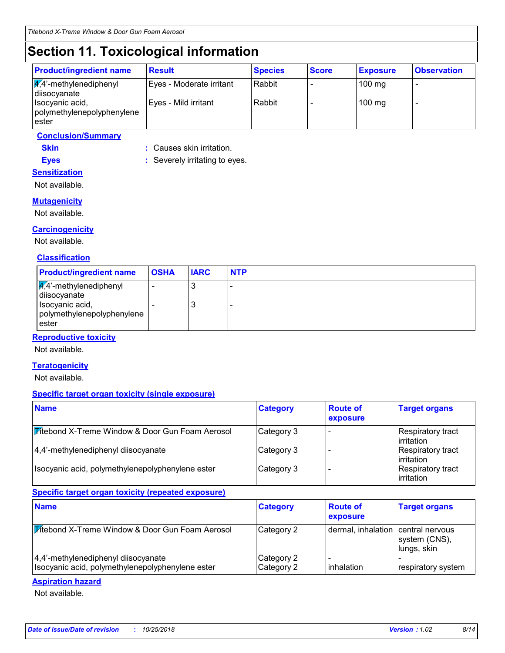# **Section 11. Toxicological information**

**Eyes :** Severely irritating to eyes.

| <b>Product/ingredient name</b>                           | <b>Result</b>            | <b>Species</b> | <b>Score</b> | <b>Exposure</b>  | <b>Observation</b> |
|----------------------------------------------------------|--------------------------|----------------|--------------|------------------|--------------------|
| $\frac{1}{4}$ ,4'-methylenediphenyl<br>diisocyanate      | Eyes - Moderate irritant | Rabbit         |              | $100 \text{ mg}$ |                    |
| Isocyanic acid,<br>polymethylenepolyphenylene<br>l ester | Eyes - Mild irritant     | Rabbit         |              | $100$ mg         |                    |

## **Conclusion/Summary**

**Skin :** Causes skin irritation.

## **Sensitization**

Not available.

### **Mutagenicity**

Not available.

## **Carcinogenicity**

Not available.

### **Classification**

| <b>Product/ingredient name</b>                                                                                       | <b>OSHA</b> | <b>IARC</b> | <b>NTP</b> |
|----------------------------------------------------------------------------------------------------------------------|-------------|-------------|------------|
| $\sqrt{4}$ <sup>2</sup> -methylenediphenyl<br>diisocyanate<br>Isocyanic acid,<br>polymethylenepolyphenylene<br>ester |             | J<br>J      |            |

### **Reproductive toxicity**

Not available.

### **Teratogenicity**

Not available.

### **Specific target organ toxicity (single exposure)**

| <b>Name</b>                                      | <b>Category</b> | <b>Route of</b><br>exposure | <b>Target organs</b>                    |
|--------------------------------------------------|-----------------|-----------------------------|-----------------------------------------|
| Vitebond X-Treme Window & Door Gun Foam Aerosol  | Category 3      |                             | Respiratory tract<br>l irritation       |
| 4,4'-methylenediphenyl diisocyanate              | Category 3      |                             | Respiratory tract<br>l irritation       |
| Isocyanic acid, polymethylenepolyphenylene ester | Category 3      |                             | Respiratory tract<br><b>lirritation</b> |

### **Specific target organ toxicity (repeated exposure)**

| <b>Name</b>                                                                             | <b>Category</b>          | <b>Route of</b><br>exposure        | <b>Target organs</b>         |
|-----------------------------------------------------------------------------------------|--------------------------|------------------------------------|------------------------------|
| Vitebond X-Treme Window & Door Gun Foam Aerosol                                         | Category 2               | dermal, inhalation central nervous | system (CNS),<br>lungs, skin |
| 4,4'-methylenediphenyl diisocyanate<br>Isocyanic acid, polymethylenepolyphenylene ester | Category 2<br>Category 2 | inhalation                         | respiratory system           |

### **Aspiration hazard**

Not available.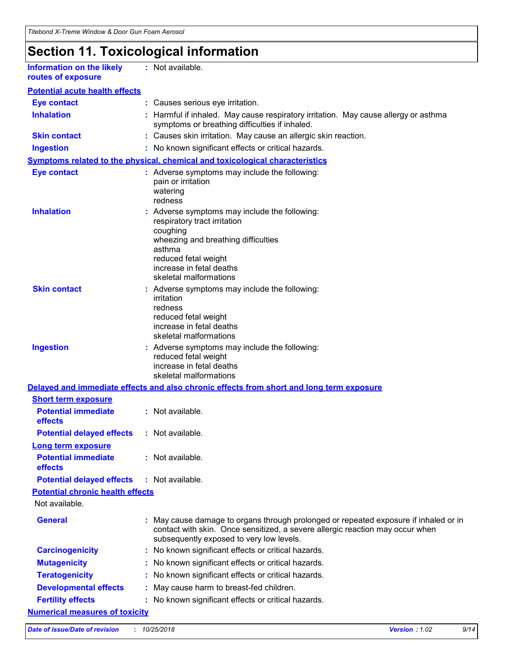# **Section 11. Toxicological information**

| Information on the likely |  |
|---------------------------|--|
| routes of exposure        |  |

**:** Not available.

| <b>Eye contact</b>                           |    | : Causes serious eye irritation.                                                                                                                                                                                         |
|----------------------------------------------|----|--------------------------------------------------------------------------------------------------------------------------------------------------------------------------------------------------------------------------|
| <b>Inhalation</b>                            |    | Harmful if inhaled. May cause respiratory irritation. May cause allergy or asthma<br>symptoms or breathing difficulties if inhaled.                                                                                      |
| <b>Skin contact</b>                          |    | : Causes skin irritation. May cause an allergic skin reaction.                                                                                                                                                           |
| <b>Ingestion</b>                             |    | : No known significant effects or critical hazards.                                                                                                                                                                      |
|                                              |    | Symptoms related to the physical, chemical and toxicological characteristics                                                                                                                                             |
| <b>Eye contact</b>                           |    | : Adverse symptoms may include the following:<br>pain or irritation<br>watering<br>redness                                                                                                                               |
| <b>Inhalation</b>                            |    | : Adverse symptoms may include the following:<br>respiratory tract irritation<br>coughing<br>wheezing and breathing difficulties<br>asthma<br>reduced fetal weight<br>increase in fetal deaths<br>skeletal malformations |
| <b>Skin contact</b>                          |    | : Adverse symptoms may include the following:<br>irritation<br>redness<br>reduced fetal weight<br>increase in fetal deaths<br>skeletal malformations                                                                     |
| <b>Ingestion</b>                             |    | : Adverse symptoms may include the following:<br>reduced fetal weight<br>increase in fetal deaths<br>skeletal malformations                                                                                              |
|                                              |    | Delayed and immediate effects and also chronic effects from short and long term exposure                                                                                                                                 |
| <b>Short term exposure</b>                   |    |                                                                                                                                                                                                                          |
| <b>Potential immediate</b><br>effects        |    | : Not available.                                                                                                                                                                                                         |
| <b>Potential delayed effects</b>             |    | : Not available.                                                                                                                                                                                                         |
| <b>Long term exposure</b>                    |    |                                                                                                                                                                                                                          |
| <b>Potential immediate</b><br><b>effects</b> |    | : Not available.                                                                                                                                                                                                         |
| <b>Potential delayed effects</b>             |    | : Not available.                                                                                                                                                                                                         |
| <b>Potential chronic health effects</b>      |    |                                                                                                                                                                                                                          |
| Not available.                               |    |                                                                                                                                                                                                                          |
| <b>General</b>                               |    | : May cause damage to organs through prolonged or repeated exposure if inhaled or in<br>contact with skin. Once sensitized, a severe allergic reaction may occur when<br>subsequently exposed to very low levels.        |
| <b>Carcinogenicity</b>                       | ÷. | No known significant effects or critical hazards.                                                                                                                                                                        |
| <b>Mutagenicity</b>                          |    | No known significant effects or critical hazards.                                                                                                                                                                        |
| <b>Teratogenicity</b>                        |    | No known significant effects or critical hazards.                                                                                                                                                                        |
| <b>Developmental effects</b>                 |    | May cause harm to breast-fed children.                                                                                                                                                                                   |
| <b>Fertility effects</b>                     |    | No known significant effects or critical hazards.                                                                                                                                                                        |
| <b>Numerical measures of toxicity</b>        |    |                                                                                                                                                                                                                          |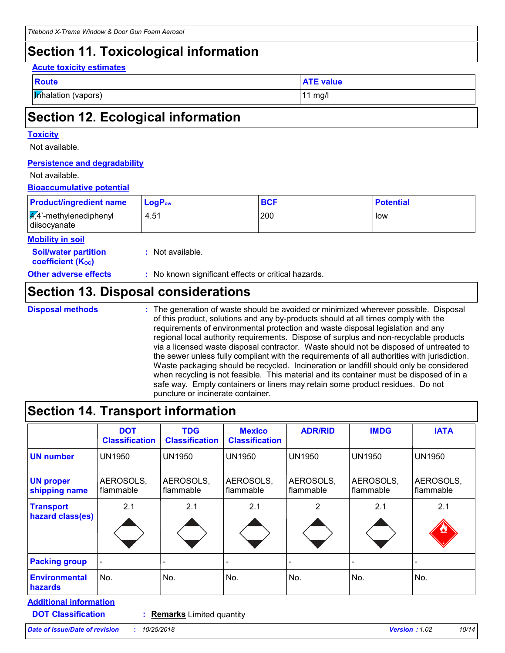## **Section 11. Toxicological information**

#### **Acute toxicity estimates**

| __<br>$\sim$<br>$\sim$ |
|------------------------|
|                        |

**Inhalation (vapors)** 11 mg/l

**ATE value** 

# **Section 12. Ecological information**

## **Toxicity**

Not available.

## **Persistence and degradability**

## Not available.

## **Bioaccumulative potential**

| <b>Product/ingredient name</b>                             | $LogP_{ow}$      | <b>BCF</b> | <b>Potential</b> |
|------------------------------------------------------------|------------------|------------|------------------|
| $\sqrt{4}$ <sup>2</sup> -methylenediphenyl<br>diisocyanate | 4.51             | 200        | low              |
| <b>Mobility in soil</b>                                    |                  |            |                  |
| <b>Soil/water partition</b><br><b>coefficient (Koc)</b>    | : Not available. |            |                  |

**Other adverse effects :** No known significant effects or critical hazards.

## **Section 13. Disposal considerations**

**Disposal methods :**

The generation of waste should be avoided or minimized wherever possible. Disposal of this product, solutions and any by-products should at all times comply with the requirements of environmental protection and waste disposal legislation and any regional local authority requirements. Dispose of surplus and non-recyclable products via a licensed waste disposal contractor. Waste should not be disposed of untreated to the sewer unless fully compliant with the requirements of all authorities with jurisdiction. Waste packaging should be recycled. Incineration or landfill should only be considered when recycling is not feasible. This material and its container must be disposed of in a safe way. Empty containers or liners may retain some product residues. Do not puncture or incinerate container.

# **Section 14. Transport information**

| <b>Classification</b>  | <b>Classification</b>  | <b>Mexico</b><br><b>Classification</b> | <b>ADR/RID</b>         | <b>IMDG</b>            | <b>IATA</b>            |
|------------------------|------------------------|----------------------------------------|------------------------|------------------------|------------------------|
| <b>UN1950</b>          | <b>UN1950</b>          | <b>UN1950</b>                          | <b>UN1950</b>          | <b>UN1950</b>          | <b>UN1950</b>          |
| AEROSOLS,<br>flammable | AEROSOLS,<br>flammable | AEROSOLS,<br>flammable                 | AEROSOLS,<br>flammable | AEROSOLS,<br>flammable | AEROSOLS,<br>flammable |
| 2.1                    | 2.1                    | 2.1                                    | 2                      | 2.1                    | 2.1                    |
|                        |                        |                                        |                        |                        |                        |
| No.                    | No.                    | No.                                    | No.                    | No.                    | No.                    |
|                        |                        |                                        |                        |                        |                        |

**DOT Classification :**

**Remarks** Limited quantity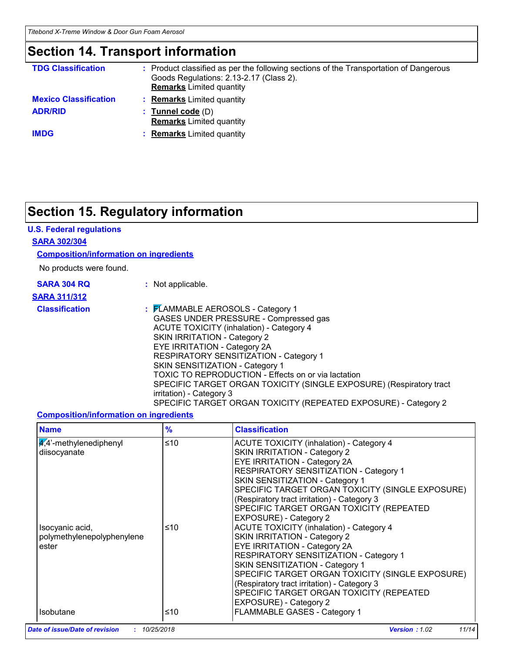## **Section 14. Transport information**

| <b>TDG Classification</b>    | Product classified as per the following sections of the Transportation of Dangerous<br>Goods Regulations: 2.13-2.17 (Class 2).<br><b>Remarks</b> Limited quantity |
|------------------------------|-------------------------------------------------------------------------------------------------------------------------------------------------------------------|
| <b>Mexico Classification</b> | <b>Remarks</b> Limited quantity                                                                                                                                   |
| <b>ADR/RID</b>               | <b>Tunnel code</b> (D)<br><b>Remarks</b> Limited quantity                                                                                                         |
| <b>IMDG</b>                  | <b>Remarks</b> Limited quantity                                                                                                                                   |

# **Section 15. Regulatory information**

### **U.S. Federal regulations**

### **SARA 302/304**

### **Composition/information on ingredients**

No products were found.

|            |  | <b>SARA 304 RQ</b> |  |
|------------|--|--------------------|--|
| . <i>.</i> |  |                    |  |

**:** Not applicable.

## **SARA 311/312**

**Classification :** FLAMMABLE AEROSOLS - Category 1 GASES UNDER PRESSURE - Compressed gas ACUTE TOXICITY (inhalation) - Category 4 SKIN IRRITATION - Category 2 EYE IRRITATION - Category 2A RESPIRATORY SENSITIZATION - Category 1 SKIN SENSITIZATION - Category 1 TOXIC TO REPRODUCTION - Effects on or via lactation SPECIFIC TARGET ORGAN TOXICITY (SINGLE EXPOSURE) (Respiratory tract irritation) - Category 3 SPECIFIC TARGET ORGAN TOXICITY (REPEATED EXPOSURE) - Category 2

### **Composition/information on ingredients**

| <b>Name</b>                                            | $\frac{9}{6}$ | <b>Classification</b>                                                                                                                                                                                                                                                                                                                                                        |
|--------------------------------------------------------|---------------|------------------------------------------------------------------------------------------------------------------------------------------------------------------------------------------------------------------------------------------------------------------------------------------------------------------------------------------------------------------------------|
| $\frac{4}{4}$ -methylenediphenyl<br>diisocyanate       | ≤10           | <b>ACUTE TOXICITY (inhalation) - Category 4</b><br>SKIN IRRITATION - Category 2<br><b>EYE IRRITATION - Category 2A</b><br>RESPIRATORY SENSITIZATION - Category 1<br>SKIN SENSITIZATION - Category 1<br>SPECIFIC TARGET ORGAN TOXICITY (SINGLE EXPOSURE)<br>(Respiratory tract irritation) - Category 3<br>SPECIFIC TARGET ORGAN TOXICITY (REPEATED<br>EXPOSURE) - Category 2 |
| Isocyanic acid,<br>polymethylenepolyphenylene<br>ester | ≤10           | <b>ACUTE TOXICITY (inhalation) - Category 4</b><br>SKIN IRRITATION - Category 2<br><b>EYE IRRITATION - Category 2A</b><br>RESPIRATORY SENSITIZATION - Category 1<br>SKIN SENSITIZATION - Category 1<br>SPECIFIC TARGET ORGAN TOXICITY (SINGLE EXPOSURE)<br>(Respiratory tract irritation) - Category 3<br>SPECIFIC TARGET ORGAN TOXICITY (REPEATED<br>EXPOSURE) - Category 2 |
| <b>Isobutane</b>                                       | ≤10           | FLAMMABLE GASES - Category 1                                                                                                                                                                                                                                                                                                                                                 |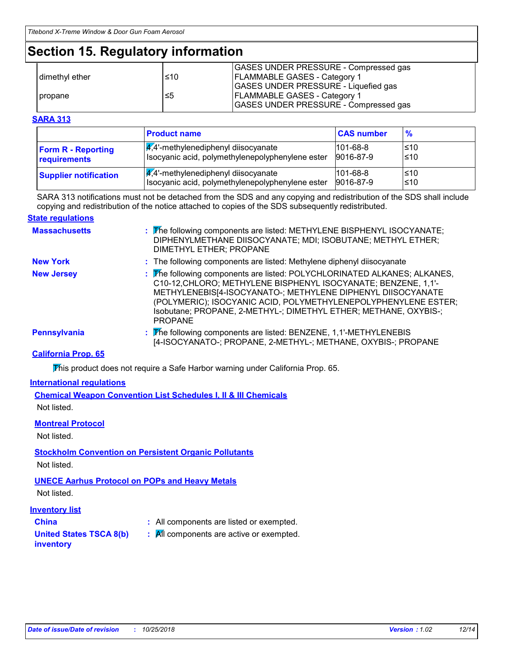# **Section 15. Regulatory information**

|                  |     | GASES UNDER PRESSURE - Compressed gas |
|------------------|-----|---------------------------------------|
| I dimethyl ether | ≤10 | <b>FLAMMABLE GASES - Category 1</b>   |
|                  |     | GASES UNDER PRESSURE - Liquefied gas  |
| propane          | ≤5  | <b>FLAMMABLE GASES - Category 1</b>   |
|                  |     | GASES UNDER PRESSURE - Compressed gas |

### **SARA 313**

|                              | <b>Product name</b>                              | <b>CAS number</b> | $\frac{9}{6}$ |
|------------------------------|--------------------------------------------------|-------------------|---------------|
| <b>Form R - Reporting</b>    | $\frac{1}{4}$ ,4'-methylenediphenyl diisocyanate | $101 - 68 - 8$    | l≤10          |
| requirements                 | Isocyanic acid, polymethylenepolyphenylene ester | 9016-87-9         | ≤10           |
| <b>Supplier notification</b> | $\frac{q}{4}$ . methylenediphenyl diisocyanate   | $101 - 68 - 8$    | l≤10          |
|                              | Isocyanic acid, polymethylenepolyphenylene ester | 9016-87-9         | l≤10          |

SARA 313 notifications must not be detached from the SDS and any copying and redistribution of the SDS shall include copying and redistribution of the notice attached to copies of the SDS subsequently redistributed.

### **State regulations**

| <b>Massachusetts</b> | : The following components are listed: METHYLENE BISPHENYL ISOCYANATE;<br>DIPHENYLMETHANE DIISOCYANATE; MDI; ISOBUTANE; METHYL ETHER;<br>DIMETHYL ETHER; PROPANE                                                                                                                                                                                                  |
|----------------------|-------------------------------------------------------------------------------------------------------------------------------------------------------------------------------------------------------------------------------------------------------------------------------------------------------------------------------------------------------------------|
| <b>New York</b>      | : The following components are listed: Methylene diphenyl diisocyanate                                                                                                                                                                                                                                                                                            |
| <b>New Jersey</b>    | : The following components are listed: POLYCHLORINATED ALKANES; ALKANES,<br>C10-12, CHLORO; METHYLENE BISPHENYL ISOCYANATE; BENZENE, 1,1'-<br>METHYLENEBIS[4-ISOCYANATO-; METHYLENE DIPHENYL DIISOCYANATE<br>(POLYMERIC); ISOCYANIC ACID, POLYMETHYLENEPOLYPHENYLENE ESTER;<br>Isobutane; PROPANE, 2-METHYL-; DIMETHYL ETHER; METHANE, OXYBIS-;<br><b>PROPANE</b> |
| <b>Pennsylvania</b>  | : The following components are listed: BENZENE, 1,1'-METHYLENEBIS<br>[4-ISOCYANATO-; PROPANE, 2-METHYL-; METHANE, OXYBIS-; PROPANE                                                                                                                                                                                                                                |

### **California Prop. 65**

This product does not require a Safe Harbor warning under California Prop. 65.

#### **International regulations**

**Chemical Weapon Convention List Schedules I, II & III Chemicals** Not listed.

### **Montreal Protocol**

Not listed.

## **Stockholm Convention on Persistent Organic Pollutants**

Not listed.

## **UNECE Aarhus Protocol on POPs and Heavy Metals**

Not listed.

### **Inventory list**

- 
- **China :** All components are listed or exempted.
- **United States TSCA 8(b)**
- **:** All components are active or exempted.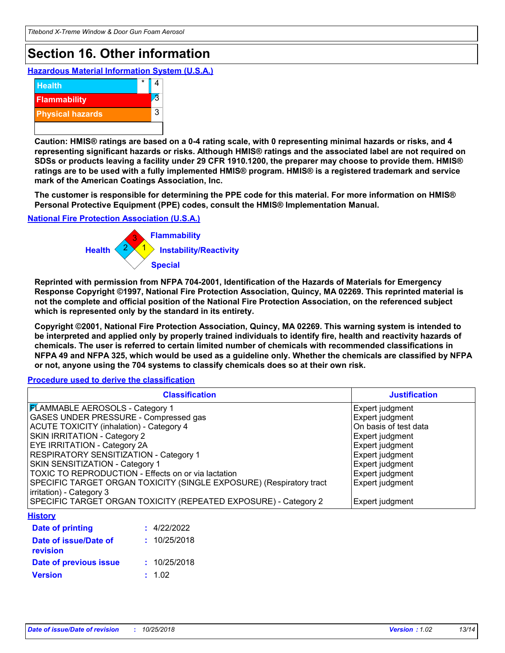# **Section 16. Other information**

**Hazardous Material Information System (U.S.A.)**



**Caution: HMIS® ratings are based on a 0-4 rating scale, with 0 representing minimal hazards or risks, and 4 representing significant hazards or risks. Although HMIS® ratings and the associated label are not required on SDSs or products leaving a facility under 29 CFR 1910.1200, the preparer may choose to provide them. HMIS® ratings are to be used with a fully implemented HMIS® program. HMIS® is a registered trademark and service mark of the American Coatings Association, Inc.**

**The customer is responsible for determining the PPE code for this material. For more information on HMIS® Personal Protective Equipment (PPE) codes, consult the HMIS® Implementation Manual.**

**National Fire Protection Association (U.S.A.)**



**Reprinted with permission from NFPA 704-2001, Identification of the Hazards of Materials for Emergency Response Copyright ©1997, National Fire Protection Association, Quincy, MA 02269. This reprinted material is not the complete and official position of the National Fire Protection Association, on the referenced subject which is represented only by the standard in its entirety.**

**Copyright ©2001, National Fire Protection Association, Quincy, MA 02269. This warning system is intended to be interpreted and applied only by properly trained individuals to identify fire, health and reactivity hazards of chemicals. The user is referred to certain limited number of chemicals with recommended classifications in NFPA 49 and NFPA 325, which would be used as a guideline only. Whether the chemicals are classified by NFPA or not, anyone using the 704 systems to classify chemicals does so at their own risk.**

**Procedure used to derive the classification**

| <b>Classification</b>                                               | <b>Justification</b>  |
|---------------------------------------------------------------------|-----------------------|
| <b>FLAMMABLE AEROSOLS - Category 1</b>                              | Expert judgment       |
| GASES UNDER PRESSURE - Compressed gas                               | Expert judgment       |
| <b>ACUTE TOXICITY (inhalation) - Category 4</b>                     | On basis of test data |
| SKIN IRRITATION - Category 2                                        | Expert judgment       |
| EYE IRRITATION - Category 2A                                        | Expert judgment       |
| RESPIRATORY SENSITIZATION - Category 1                              | Expert judgment       |
| SKIN SENSITIZATION - Category 1                                     | Expert judgment       |
| TOXIC TO REPRODUCTION - Effects on or via lactation                 | Expert judgment       |
| SPECIFIC TARGET ORGAN TOXICITY (SINGLE EXPOSURE) (Respiratory tract | Expert judgment       |
| irritation) - Category 3                                            |                       |
| SPECIFIC TARGET ORGAN TOXICITY (REPEATED EXPOSURE) - Category 2     | Expert judgment       |
| <b>History</b>                                                      |                       |
| : 4/22/2022<br>Date of printing                                     |                       |
| : 10/25/2018<br>Date of issue/Date of<br>revision                   |                       |